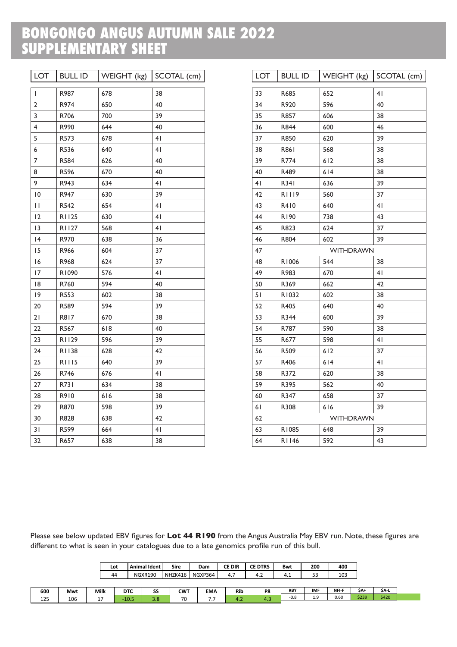## **BONGONGO ANGUS AUTUMN SALE 2022 SUPPLEMENTARY SHEET**

| <b>LOT</b>     | <b>BULL ID</b> | WEIGHT (kg) | SCOTAL (cm) |  |  |  |  |
|----------------|----------------|-------------|-------------|--|--|--|--|
| I              | R987           | 678         | 38          |  |  |  |  |
| $\overline{2}$ | R974           | 650         | 40          |  |  |  |  |
| 3              | R706           | 700         | 39          |  |  |  |  |
| 4              | R990           | 644         | 40          |  |  |  |  |
| 5              | R573           | 678         | 41          |  |  |  |  |
| 6              | R536           | 640         | 41          |  |  |  |  |
| 7              | R584           | 626         | 40          |  |  |  |  |
| 8              | R596           | 670         | 40          |  |  |  |  |
| 9              | R943           | 634         | 41          |  |  |  |  |
| 10             | R947           | 630         | 39          |  |  |  |  |
| $\mathbf{H}$   | R542           | 654         | 41          |  |  |  |  |
| 12             | R1125          | 630         | 41          |  |  |  |  |
| 13             | R1127          | 568         | 41          |  |  |  |  |
| 4              | R970           | 638         | 36          |  |  |  |  |
| 15             | R966           | 604         | 37          |  |  |  |  |
| 16             | R968           | 624         | 37          |  |  |  |  |
| 17             | R1090          | 576         | 41          |  |  |  |  |
| 18             | R760           | 594         | 40          |  |  |  |  |
| 9              | R553           | 602         | 38          |  |  |  |  |
| 20             | R589           | 594         | 39          |  |  |  |  |
| 21             | R817           | 670         | 38          |  |  |  |  |
| 22             | R567           | 618         | 40          |  |  |  |  |
| 23             | R1129          | 596         | 39          |  |  |  |  |
| 24             | R1138          | 628         | 42          |  |  |  |  |
| 25             | <b>RIII5</b>   | 640         | 39          |  |  |  |  |
| 26             | R746           | 676         | 41          |  |  |  |  |
| 27             | R731           | 634         | 38          |  |  |  |  |
| 28             | R910           | 616         | 38          |  |  |  |  |
| 29             | R870           | 598         | 39          |  |  |  |  |
| 30             | R828           | 638         | 42          |  |  |  |  |
| 31             | R599           | 664         | 41          |  |  |  |  |
| 32             | R657           | 638         | 38          |  |  |  |  |

| <b>LOT</b> | <b>BULL ID</b>   | WEIGHT (kg)      | $SCOTAL$ (cm)  |  |  |  |  |  |  |
|------------|------------------|------------------|----------------|--|--|--|--|--|--|
| 33         | R685             | 652              | 4 <sub>l</sub> |  |  |  |  |  |  |
| 34         | R920             | 596              | 40             |  |  |  |  |  |  |
| 35         | R857             | 606              | 38             |  |  |  |  |  |  |
| 36         | R844             | 600              | 46             |  |  |  |  |  |  |
| 37         | R850             | 620              | 39             |  |  |  |  |  |  |
| 38         | R861             | 568              | 38             |  |  |  |  |  |  |
| 39         | R774             | 612              | 38             |  |  |  |  |  |  |
| 40         | R489             | 614              | 38             |  |  |  |  |  |  |
| 41         | R341             | 636              | 39             |  |  |  |  |  |  |
| 42         | <b>RIII9</b>     | 560              | 37             |  |  |  |  |  |  |
| 43         | R410             | 640              | 41             |  |  |  |  |  |  |
| 44         | R190             | 738              | 43             |  |  |  |  |  |  |
| 45         | R823             | 624              | 37             |  |  |  |  |  |  |
| 46         | R804             | 602              | 39             |  |  |  |  |  |  |
| 47         | <b>WITHDRAWN</b> |                  |                |  |  |  |  |  |  |
| 48         | R1006            | 544              | 38             |  |  |  |  |  |  |
| 49         | R983             | 670              | 41             |  |  |  |  |  |  |
| 50         | R369             | 662              | 42             |  |  |  |  |  |  |
| 51         | R1032            | 602              | 38             |  |  |  |  |  |  |
| 52         | R405             | 640              | 40             |  |  |  |  |  |  |
| 53         | R344             | 600              | 39             |  |  |  |  |  |  |
| 54         | R787             | 590              | 38             |  |  |  |  |  |  |
| 55         | R677             | 598              | 4 <sub>1</sub> |  |  |  |  |  |  |
| 56         | R509             | 612              | 37             |  |  |  |  |  |  |
| 57         | R406             | 614              | 41             |  |  |  |  |  |  |
| 58         | R372             | 620              | 38             |  |  |  |  |  |  |
| 59         | R395             | 562              | 40             |  |  |  |  |  |  |
| 60         | R347             | 658              | 37             |  |  |  |  |  |  |
| 61         | R308             | 616              | 39             |  |  |  |  |  |  |
| 62         |                  | <b>WITHDRAWN</b> |                |  |  |  |  |  |  |
| 63         | R1085            | 648              | 39             |  |  |  |  |  |  |
| 64         | R1146            | 592              | 43             |  |  |  |  |  |  |

Please see below updated EBV figures for **Lot 44 R190** from the Angus Australia May EBV run. Note, these figures are different to what is seen in your catalogues due to a late genomics profile run of this bull.

|     |     |      | Lot |            | Animal Ident | <b>Sire</b> | Dam        | <b>CE DIR</b> | <b>CE DTRS</b> | Bwt        | 200        | 400   |       |       |
|-----|-----|------|-----|------------|--------------|-------------|------------|---------------|----------------|------------|------------|-------|-------|-------|
|     |     |      | 44  |            | NGXR190      | NHZK416     | NGXP364    | 4.7           | 4.2            | 4.1        | 53         | 103   |       |       |
|     |     |      |     |            |              |             |            |               |                |            |            |       |       |       |
| 600 | Mwt | Milk |     | <b>DTC</b> | SS           | <b>CWT</b>  | <b>EMA</b> | <b>Rib</b>    | P8             | <b>RBY</b> | <b>IMF</b> | NFI-F | \$A+  | \$A-L |
|     |     |      |     |            |              |             |            |               |                | $-0.8$     | 1.9        | 0.60  | \$239 | \$420 |